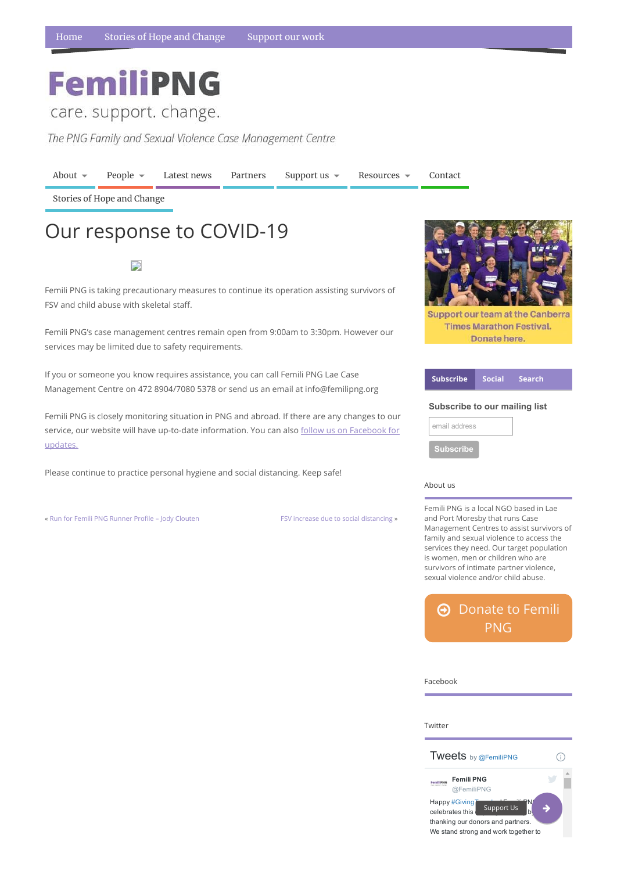## **FemiliPNG**

care. support. change.

The PNG Family and Sexual Violence Case Management Centre

## About us

Femili PNG is a local NGO based in Lae and Port Moresby that runs Case Management Centres to assist survivors of family and sexual violence to access the services they need. Our target population is women, men or children who are survivors of intimate partner violence, sexual violence and/or child abuse.

 $\Theta$  [Donate](https://www.femilipng.org/donate/) to Femili PNG

[About](https://www.femilipng.org/introducing-the-png-family-and-sexual-violence-case-management-centre/)  $\bullet$  [People](https://www.femilipng.org/people/)  $\bullet$  [Latest](https://www.femilipng.org/category/news/) news [Partners](https://www.femilipng.org/partners-and-supporters/) [Support](https://www.femilipng.org/donate/) us  $\bullet$  [Resources](https://www.femilipng.org/resources-on-fsv-in-png/)  $\bullet$  [Contact](https://www.femilipng.org/contact/) Stories of Hope and [Change](https://www.femilipng.org/category/stories-of-hope-and-change/)

Femili PNG is taking precautionary measures to continue its operation assisting survivors of FSV and child abuse with skeletal staff.



| <b>Subscribe</b>              |  | Social Search |
|-------------------------------|--|---------------|
| Subscribe to our mailing list |  |               |
| email address                 |  |               |
| <b>Subscribe</b>              |  |               |

Femili PNG's case management centres remain open from 9:00am to 3:30pm. However our services may be limited due to safety requirements.

If you or someone you know requires assistance, you can call Femili PNG Lae Case Management Centre on 472 8904/7080 5378 or send us an email at info@femilipng.org

Femili PNG is closely monitoring situation in PNG and abroad. If there are any changes to our service, our website will have up-to-date information. You can also follow us on [Facebook](https://www.facebook.com/femiliPNG/) for [updates.](https://www.facebook.com/femiliPNG/)

Please continue to practice personal hygiene and social distancing. Keep safe!

« Run for Femili PNG Runner Profile – Jody [Clouten](https://www.femilipng.org/run-for-femili-png-runner-profile-jody-clouten/) FSV increase due to social [distancing](https://www.femilipng.org/fsv-increase-due-to-social-distancing/) »

**Support our team at the Canberra Times Marathon Festival.** Donate here.

## Our response to COVID-19